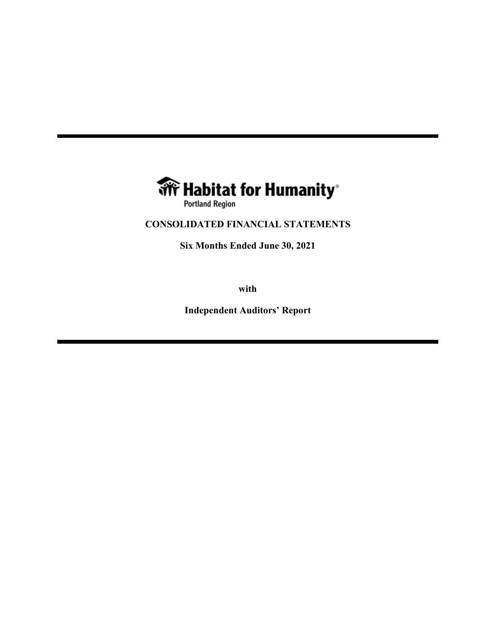

# **CONSOLIDATED FINANCIAL STATEMENTS**

**Six Months Ended June 30, 2021**

**with**

**Independent Auditors' Report**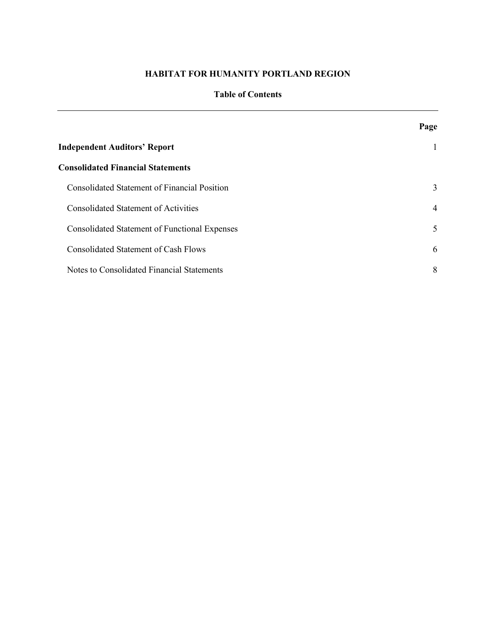## **Table of Contents**

|                                                      | Page |
|------------------------------------------------------|------|
| <b>Independent Auditors' Report</b>                  |      |
| <b>Consolidated Financial Statements</b>             |      |
| <b>Consolidated Statement of Financial Position</b>  | 3    |
| <b>Consolidated Statement of Activities</b>          | 4    |
| <b>Consolidated Statement of Functional Expenses</b> | 5    |
| <b>Consolidated Statement of Cash Flows</b>          | 6    |
| Notes to Consolidated Financial Statements           | 8    |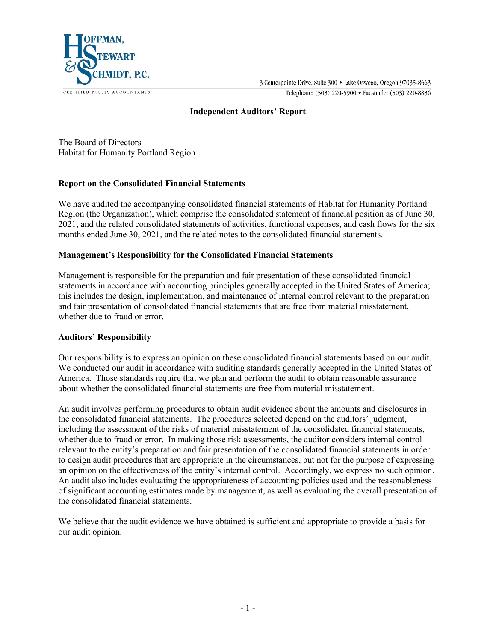

3 Centerpointe Drive. Suite 300 · Lake Oswego. Oregon 97035-8663 Telephone: (503) 220-5900 · Facsimile: (503) 220-8836

## **Independent Auditors' Report**

The Board of Directors Habitat for Humanity Portland Region

## **Report on the Consolidated Financial Statements**

We have audited the accompanying consolidated financial statements of Habitat for Humanity Portland Region (the Organization), which comprise the consolidated statement of financial position as of June 30, 2021, and the related consolidated statements of activities, functional expenses, and cash flows for the six months ended June 30, 2021, and the related notes to the consolidated financial statements.

## **Management's Responsibility for the Consolidated Financial Statements**

Management is responsible for the preparation and fair presentation of these consolidated financial statements in accordance with accounting principles generally accepted in the United States of America; this includes the design, implementation, and maintenance of internal control relevant to the preparation and fair presentation of consolidated financial statements that are free from material misstatement, whether due to fraud or error.

## **Auditors' Responsibility**

Our responsibility is to express an opinion on these consolidated financial statements based on our audit. We conducted our audit in accordance with auditing standards generally accepted in the United States of America. Those standards require that we plan and perform the audit to obtain reasonable assurance about whether the consolidated financial statements are free from material misstatement.

An audit involves performing procedures to obtain audit evidence about the amounts and disclosures in the consolidated financial statements. The procedures selected depend on the auditors' judgment, including the assessment of the risks of material misstatement of the consolidated financial statements, whether due to fraud or error. In making those risk assessments, the auditor considers internal control relevant to the entity's preparation and fair presentation of the consolidated financial statements in order to design audit procedures that are appropriate in the circumstances, but not for the purpose of expressing an opinion on the effectiveness of the entity's internal control. Accordingly, we express no such opinion. An audit also includes evaluating the appropriateness of accounting policies used and the reasonableness of significant accounting estimates made by management, as well as evaluating the overall presentation of the consolidated financial statements.

We believe that the audit evidence we have obtained is sufficient and appropriate to provide a basis for our audit opinion.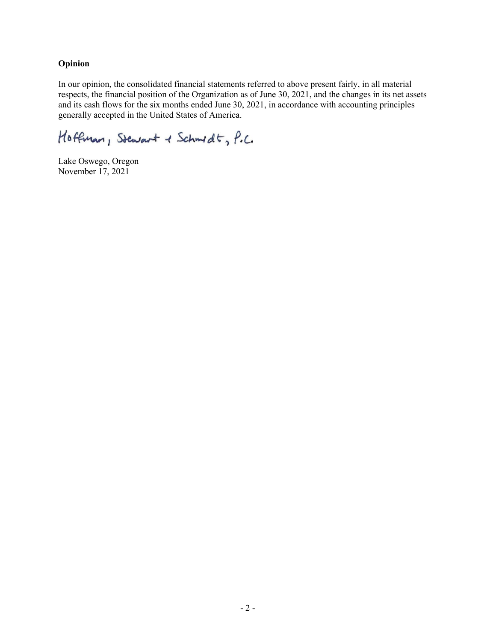## **Opinion**

In our opinion, the consolidated financial statements referred to above present fairly, in all material respects, the financial position of the Organization as of June 30, 2021, and the changes in its net assets and its cash flows for the six months ended June 30, 2021, in accordance with accounting principles generally accepted in the United States of America.

Hoffman, Stewart & Schmidt, P.C.

Lake Oswego, Oregon November 17, 2021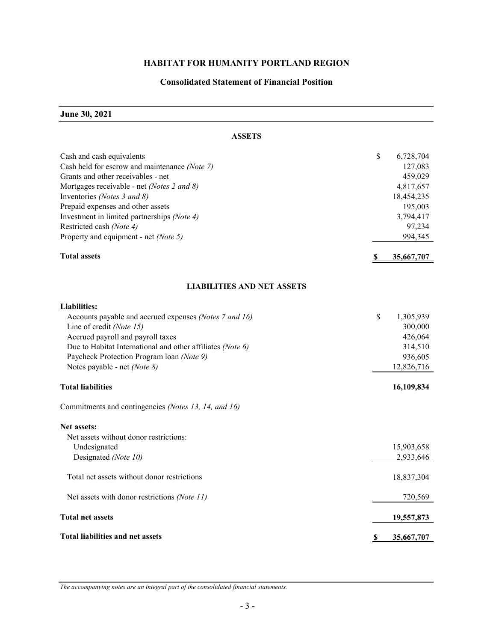# **Consolidated Statement of Financial Position**

**June 30, 2021**

| <b>ASSETS</b>                                                                                                                                                                                                                                                                                                                                                                 |                                                                                                               |
|-------------------------------------------------------------------------------------------------------------------------------------------------------------------------------------------------------------------------------------------------------------------------------------------------------------------------------------------------------------------------------|---------------------------------------------------------------------------------------------------------------|
| Cash and cash equivalents<br>Cash held for escrow and maintenance (Note 7)<br>Grants and other receivables - net<br>Mortgages receivable - net (Notes 2 and 8)<br>Inventories (Notes 3 and 8)<br>Prepaid expenses and other assets<br>Investment in limited partnerships (Note 4)<br>Restricted cash (Note 4)<br>Property and equipment - net (Note 5)                        | \$<br>6,728,704<br>127,083<br>459,029<br>4,817,657<br>18,454,235<br>195,003<br>3,794,417<br>97,234<br>994,345 |
| <b>Total assets</b>                                                                                                                                                                                                                                                                                                                                                           | 35,667,707                                                                                                    |
| <b>LIABILITIES AND NET ASSETS</b>                                                                                                                                                                                                                                                                                                                                             |                                                                                                               |
| <b>Liabilities:</b><br>Accounts payable and accrued expenses (Notes 7 and 16)<br>Line of credit (Note 15)<br>Accrued payroll and payroll taxes<br>Due to Habitat International and other affiliates (Note 6)<br>Paycheck Protection Program loan (Note 9)<br>Notes payable - net (Note 8)<br><b>Total liabilities</b><br>Commitments and contingencies (Notes 13, 14, and 16) | \$<br>1,305,939<br>300,000<br>426,064<br>314,510<br>936,605<br>12,826,716<br>16,109,834                       |
| <b>Net assets:</b><br>Net assets without donor restrictions:<br>Undesignated<br>Designated (Note 10)                                                                                                                                                                                                                                                                          | 15,903,658<br>2,933,646                                                                                       |
| Total net assets without donor restrictions                                                                                                                                                                                                                                                                                                                                   | 18,837,304                                                                                                    |
| Net assets with donor restrictions (Note 11)                                                                                                                                                                                                                                                                                                                                  | 720,569                                                                                                       |
| <b>Total net assets</b>                                                                                                                                                                                                                                                                                                                                                       | 19,557,873                                                                                                    |
| <b>Total liabilities and net assets</b>                                                                                                                                                                                                                                                                                                                                       | 35,667,707                                                                                                    |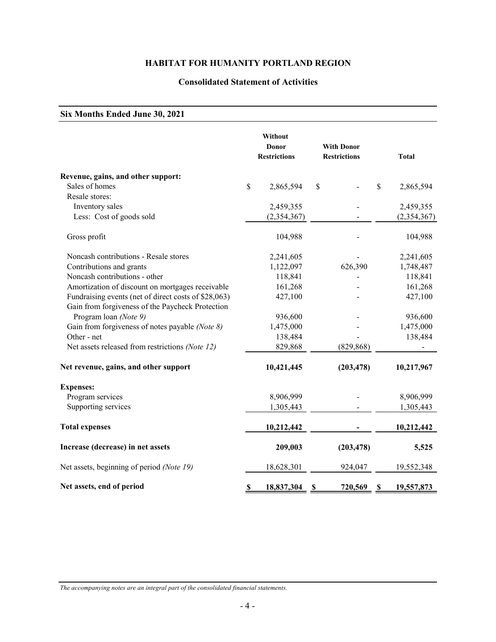## **Consolidated Statement of Activities**

## **Six Months Ended June 30, 2021**

|                                                                                                          |              | Without<br>Donor<br><b>Restrictions</b> |      | <b>With Donor</b><br><b>Restrictions</b> | <b>Total</b>     |
|----------------------------------------------------------------------------------------------------------|--------------|-----------------------------------------|------|------------------------------------------|------------------|
| Revenue, gains, and other support:                                                                       |              |                                         |      |                                          |                  |
| Sales of homes                                                                                           | $\mathbb{S}$ | 2,865,594                               | \$   |                                          | \$<br>2,865,594  |
| Resale stores:                                                                                           |              |                                         |      |                                          |                  |
| Inventory sales                                                                                          |              | 2,459,355                               |      |                                          | 2,459,355        |
| Less: Cost of goods sold                                                                                 |              | (2,354,367)                             |      |                                          | (2,354,367)      |
| Gross profit                                                                                             |              | 104,988                                 |      |                                          | 104,988          |
| Noncash contributions - Resale stores                                                                    |              | 2,241,605                               |      |                                          | 2,241,605        |
| Contributions and grants                                                                                 |              | 1,122,097                               |      | 626,390                                  | 1,748,487        |
| Noncash contributions - other                                                                            |              | 118,841                                 |      |                                          | 118,841          |
| Amortization of discount on mortgages receivable                                                         |              | 161,268                                 |      |                                          | 161,268          |
| Fundraising events (net of direct costs of \$28,063)<br>Gain from forgiveness of the Paycheck Protection |              | 427,100                                 |      |                                          | 427,100          |
| Program loan (Note 9)                                                                                    |              | 936,600                                 |      |                                          | 936,600          |
| Gain from forgiveness of notes payable (Note 8)                                                          |              | 1,475,000                               |      |                                          | 1,475,000        |
| Other - net                                                                                              |              | 138,484                                 |      |                                          | 138,484          |
| Net assets released from restrictions (Note 12)                                                          |              | 829,868                                 |      | (829, 868)                               |                  |
| Net revenue, gains, and other support                                                                    |              | 10,421,445                              |      | (203, 478)                               | 10,217,967       |
| <b>Expenses:</b>                                                                                         |              |                                         |      |                                          |                  |
| Program services                                                                                         |              | 8,906,999                               |      |                                          | 8,906,999        |
| Supporting services                                                                                      |              | 1,305,443                               |      |                                          | 1,305,443        |
| <b>Total expenses</b>                                                                                    |              | 10,212,442                              |      |                                          | 10,212,442       |
| Increase (decrease) in net assets                                                                        |              | 209,003                                 |      | (203, 478)                               | 5,525            |
| Net assets, beginning of period (Note 19)                                                                |              | 18,628,301                              |      | 924,047                                  | 19,552,348       |
| Net assets, end of period                                                                                | $\mathbf{s}$ | 18,837,304                              | - \$ | 720,569                                  | \$<br>19,557,873 |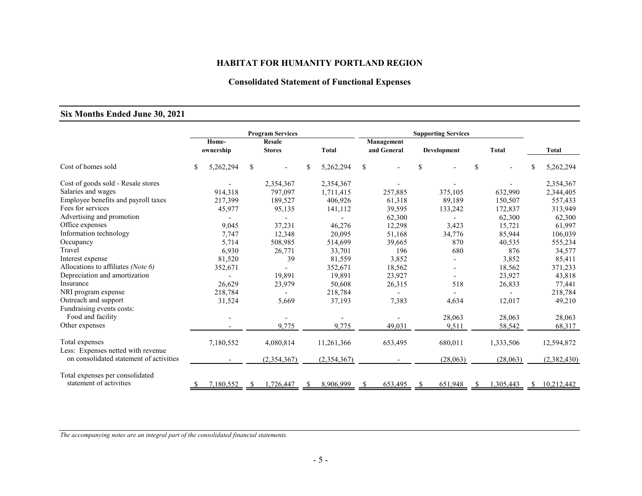## **Consolidated Statement of Functional Expenses**

## **Six Months Ended June 30, 2021**

|                                         |       |           |               | <b>Program Services</b> |  | <b>Supporting Services</b> |     |             |  |             |    |              |             |
|-----------------------------------------|-------|-----------|---------------|-------------------------|--|----------------------------|-----|-------------|--|-------------|----|--------------|-------------|
|                                         | Home- |           | <b>Resale</b> |                         |  | Management                 |     |             |  |             |    |              |             |
|                                         |       | ownership |               | <b>Stores</b>           |  | <b>Total</b>               |     | and General |  | Development |    | <b>Total</b> | Total       |
| Cost of homes sold                      | S     | 5,262,294 | $\mathcal{S}$ |                         |  | 5,262,294                  | \$. |             |  |             | \$ |              | 5,262,294   |
| Cost of goods sold - Resale stores      |       |           |               | 2,354,367               |  | 2,354,367                  |     |             |  |             |    |              | 2,354,367   |
| Salaries and wages                      |       | 914,318   |               | 797.097                 |  | 1,711,415                  |     | 257,885     |  | 375,105     |    | 632,990      | 2,344,405   |
| Employee benefits and payroll taxes     |       | 217,399   |               | 189,527                 |  | 406,926                    |     | 61,318      |  | 89.189      |    | 150,507      | 557,433     |
| Fees for services                       |       | 45,977    |               | 95,135                  |  | 141,112                    |     | 39,595      |  | 133,242     |    | 172,837      | 313,949     |
| Advertising and promotion               |       |           |               |                         |  |                            |     | 62,300      |  |             |    | 62,300       | 62,300      |
| Office expenses                         |       | 9,045     |               | 37,231                  |  | 46,276                     |     | 12,298      |  | 3,423       |    | 15,721       | 61,997      |
| Information technology                  |       | 7,747     |               | 12,348                  |  | 20,095                     |     | 51,168      |  | 34,776      |    | 85,944       | 106,039     |
| Occupancy                               |       | 5,714     |               | 508,985                 |  | 514,699                    |     | 39,665      |  | 870         |    | 40,535       | 555,234     |
| Travel                                  |       | 6,930     |               | 26,771                  |  | 33,701                     |     | 196         |  | 680         |    | 876          | 34,577      |
| Interest expense                        |       | 81,520    |               | 39                      |  | 81,559                     |     | 3,852       |  |             |    | 3,852        | 85,411      |
| Allocations to affiliates (Note 6)      |       | 352,671   |               |                         |  | 352,671                    |     | 18,562      |  |             |    | 18,562       | 371,233     |
| Depreciation and amortization           |       |           |               | 19,891                  |  | 19,891                     |     | 23,927      |  |             |    | 23,927       | 43,818      |
| Insurance                               |       | 26.629    |               | 23,979                  |  | 50.608                     |     | 26,315      |  | 518         |    | 26,833       | 77,441      |
| NRI program expense                     |       | 218,784   |               |                         |  | 218,784                    |     |             |  |             |    |              | 218,784     |
| Outreach and support                    |       | 31,524    |               | 5,669                   |  | 37,193                     |     | 7,383       |  | 4,634       |    | 12,017       | 49,210      |
| Fundraising events costs:               |       |           |               |                         |  |                            |     |             |  |             |    |              |             |
| Food and facility                       |       |           |               |                         |  |                            |     |             |  | 28,063      |    | 28,063       | 28,063      |
| Other expenses                          |       |           |               | 9,775                   |  | 9,775                      |     | 49,031      |  | 9,511       |    | 58,542       | 68,317      |
| Total expenses                          |       | 7,180,552 |               | 4,080,814               |  | 11,261,366                 |     | 653,495     |  | 680,011     |    | 1,333,506    | 12,594,872  |
| Less: Expenses netted with revenue      |       |           |               |                         |  |                            |     |             |  |             |    |              |             |
| on consolidated statement of activities |       |           |               | (2,354,367)             |  | (2,354,367)                |     |             |  | (28,063)    |    | (28,063)     | (2,382,430) |
| Total expenses per consolidated         |       |           |               |                         |  |                            |     |             |  |             |    |              |             |
| statement of activities                 |       | 7,180,552 |               | 1,726,447               |  | 8,906,999                  |     | 653,495     |  | 651,948     |    | 1,305,443    | 10,212,442  |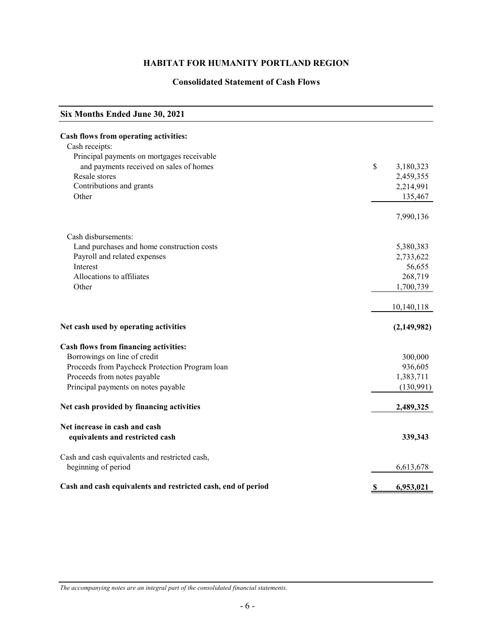# **Consolidated Statement of Cash Flows**

| Six Months Ended June 30, 2021                               |                           |
|--------------------------------------------------------------|---------------------------|
| Cash flows from operating activities:                        |                           |
| Cash receipts:                                               |                           |
| Principal payments on mortgages receivable                   |                           |
| and payments received on sales of homes                      | $\mathbb{S}$<br>3,180,323 |
| Resale stores                                                | 2,459,355                 |
| Contributions and grants                                     | 2,214,991                 |
| Other                                                        | 135,467                   |
|                                                              |                           |
|                                                              | 7,990,136                 |
|                                                              |                           |
| Cash disbursements:                                          |                           |
| Land purchases and home construction costs                   | 5,380,383                 |
| Payroll and related expenses                                 | 2,733,622                 |
| Interest                                                     | 56,655                    |
| Allocations to affiliates                                    | 268,719                   |
| Other                                                        | 1,700,739                 |
|                                                              | 10,140,118                |
| Net cash used by operating activities                        | (2,149,982)               |
| Cash flows from financing activities:                        |                           |
| Borrowings on line of credit                                 | 300,000                   |
| Proceeds from Paycheck Protection Program loan               | 936,605                   |
| Proceeds from notes payable                                  | 1,383,711                 |
| Principal payments on notes payable                          | (130,991)                 |
| Net cash provided by financing activities                    | 2,489,325                 |
|                                                              |                           |
| Net increase in cash and cash                                |                           |
| equivalents and restricted cash                              | 339,343                   |
| Cash and cash equivalents and restricted cash,               |                           |
| beginning of period                                          | 6,613,678                 |
| Cash and cash equivalents and restricted cash, end of period | 6,953,021<br>S            |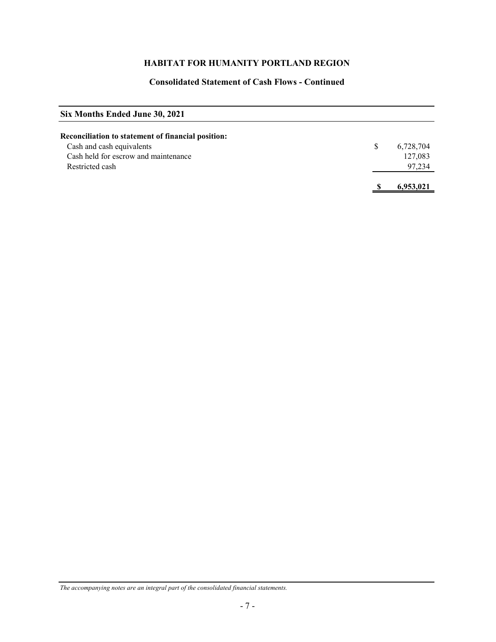# **Consolidated Statement of Cash Flows - Continued**

| Six Months Ended June 30, 2021                     |           |
|----------------------------------------------------|-----------|
| Reconciliation to statement of financial position: |           |
| Cash and cash equivalents                          | 6,728,704 |
| Cash held for escrow and maintenance               | 127,083   |
| Restricted cash                                    | 97,234    |
|                                                    | 6,953,021 |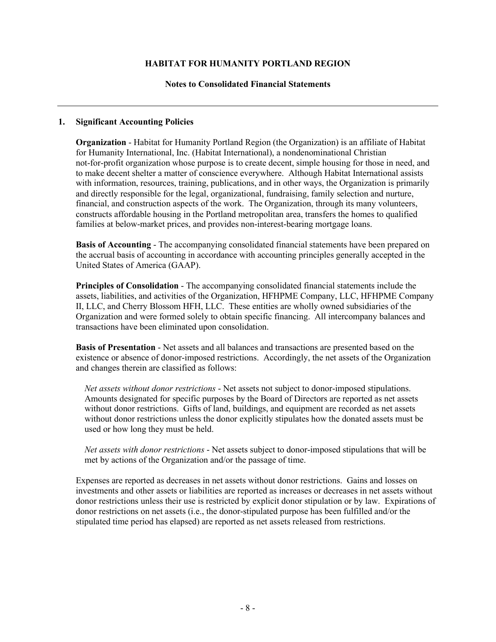### **Notes to Consolidated Financial Statements**

## **1. Significant Accounting Policies**

**Organization** - Habitat for Humanity Portland Region (the Organization) is an affiliate of Habitat for Humanity International, Inc. (Habitat International), a nondenominational Christian not-for-profit organization whose purpose is to create decent, simple housing for those in need, and to make decent shelter a matter of conscience everywhere. Although Habitat International assists with information, resources, training, publications, and in other ways, the Organization is primarily and directly responsible for the legal, organizational, fundraising, family selection and nurture, financial, and construction aspects of the work. The Organization, through its many volunteers, constructs affordable housing in the Portland metropolitan area, transfers the homes to qualified families at below-market prices, and provides non-interest-bearing mortgage loans.

**Basis of Accounting** - The accompanying consolidated financial statements have been prepared on the accrual basis of accounting in accordance with accounting principles generally accepted in the United States of America (GAAP).

**Principles of Consolidation** - The accompanying consolidated financial statements include the assets, liabilities, and activities of the Organization, HFHPME Company, LLC, HFHPME Company II, LLC, and Cherry Blossom HFH, LLC. These entities are wholly owned subsidiaries of the Organization and were formed solely to obtain specific financing. All intercompany balances and transactions have been eliminated upon consolidation.

**Basis of Presentation** - Net assets and all balances and transactions are presented based on the existence or absence of donor-imposed restrictions. Accordingly, the net assets of the Organization and changes therein are classified as follows:

*Net assets without donor restrictions* - Net assets not subject to donor-imposed stipulations. Amounts designated for specific purposes by the Board of Directors are reported as net assets without donor restrictions. Gifts of land, buildings, and equipment are recorded as net assets without donor restrictions unless the donor explicitly stipulates how the donated assets must be used or how long they must be held.

*Net assets with donor restrictions* - Net assets subject to donor-imposed stipulations that will be met by actions of the Organization and/or the passage of time.

Expenses are reported as decreases in net assets without donor restrictions. Gains and losses on investments and other assets or liabilities are reported as increases or decreases in net assets without donor restrictions unless their use is restricted by explicit donor stipulation or by law. Expirations of donor restrictions on net assets (i.e., the donor-stipulated purpose has been fulfilled and/or the stipulated time period has elapsed) are reported as net assets released from restrictions.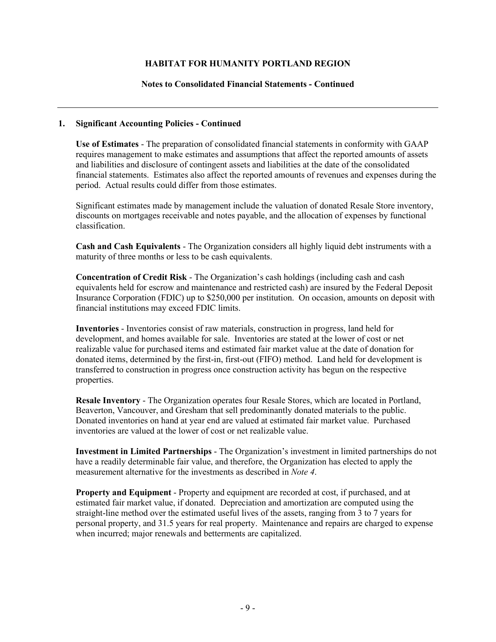#### **Notes to Consolidated Financial Statements - Continued**

### **1. Significant Accounting Policies - Continued**

**Use of Estimates** - The preparation of consolidated financial statements in conformity with GAAP requires management to make estimates and assumptions that affect the reported amounts of assets and liabilities and disclosure of contingent assets and liabilities at the date of the consolidated financial statements. Estimates also affect the reported amounts of revenues and expenses during the period. Actual results could differ from those estimates.

Significant estimates made by management include the valuation of donated Resale Store inventory, discounts on mortgages receivable and notes payable, and the allocation of expenses by functional classification.

**Cash and Cash Equivalents** - The Organization considers all highly liquid debt instruments with a maturity of three months or less to be cash equivalents.

**Concentration of Credit Risk** - The Organization's cash holdings (including cash and cash equivalents held for escrow and maintenance and restricted cash) are insured by the Federal Deposit Insurance Corporation (FDIC) up to \$250,000 per institution. On occasion, amounts on deposit with financial institutions may exceed FDIC limits.

**Inventories** - Inventories consist of raw materials, construction in progress, land held for development, and homes available for sale. Inventories are stated at the lower of cost or net realizable value for purchased items and estimated fair market value at the date of donation for donated items, determined by the first-in, first-out (FIFO) method. Land held for development is transferred to construction in progress once construction activity has begun on the respective properties.

**Resale Inventory** - The Organization operates four Resale Stores, which are located in Portland, Beaverton, Vancouver, and Gresham that sell predominantly donated materials to the public. Donated inventories on hand at year end are valued at estimated fair market value. Purchased inventories are valued at the lower of cost or net realizable value.

**Investment in Limited Partnerships** - The Organization's investment in limited partnerships do not have a readily determinable fair value, and therefore, the Organization has elected to apply the measurement alternative for the investments as described in *Note 4*.

**Property and Equipment** - Property and equipment are recorded at cost, if purchased, and at estimated fair market value, if donated. Depreciation and amortization are computed using the straight-line method over the estimated useful lives of the assets, ranging from 3 to 7 years for personal property, and 31.5 years for real property. Maintenance and repairs are charged to expense when incurred; major renewals and betterments are capitalized.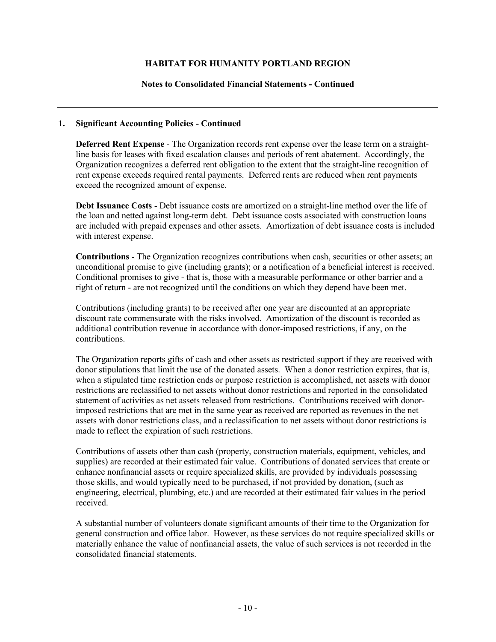### **Notes to Consolidated Financial Statements - Continued**

### **1. Significant Accounting Policies - Continued**

**Deferred Rent Expense** - The Organization records rent expense over the lease term on a straightline basis for leases with fixed escalation clauses and periods of rent abatement. Accordingly, the Organization recognizes a deferred rent obligation to the extent that the straight-line recognition of rent expense exceeds required rental payments. Deferred rents are reduced when rent payments exceed the recognized amount of expense.

**Debt Issuance Costs** - Debt issuance costs are amortized on a straight-line method over the life of the loan and netted against long-term debt. Debt issuance costs associated with construction loans are included with prepaid expenses and other assets. Amortization of debt issuance costs is included with interest expense.

**Contributions** - The Organization recognizes contributions when cash, securities or other assets; an unconditional promise to give (including grants); or a notification of a beneficial interest is received. Conditional promises to give - that is, those with a measurable performance or other barrier and a right of return - are not recognized until the conditions on which they depend have been met.

Contributions (including grants) to be received after one year are discounted at an appropriate discount rate commensurate with the risks involved. Amortization of the discount is recorded as additional contribution revenue in accordance with donor-imposed restrictions, if any, on the contributions.

The Organization reports gifts of cash and other assets as restricted support if they are received with donor stipulations that limit the use of the donated assets. When a donor restriction expires, that is, when a stipulated time restriction ends or purpose restriction is accomplished, net assets with donor restrictions are reclassified to net assets without donor restrictions and reported in the consolidated statement of activities as net assets released from restrictions. Contributions received with donorimposed restrictions that are met in the same year as received are reported as revenues in the net assets with donor restrictions class, and a reclassification to net assets without donor restrictions is made to reflect the expiration of such restrictions.

Contributions of assets other than cash (property, construction materials, equipment, vehicles, and supplies) are recorded at their estimated fair value. Contributions of donated services that create or enhance nonfinancial assets or require specialized skills, are provided by individuals possessing those skills, and would typically need to be purchased, if not provided by donation, (such as engineering, electrical, plumbing, etc.) and are recorded at their estimated fair values in the period received.

A substantial number of volunteers donate significant amounts of their time to the Organization for general construction and office labor. However, as these services do not require specialized skills or materially enhance the value of nonfinancial assets, the value of such services is not recorded in the consolidated financial statements.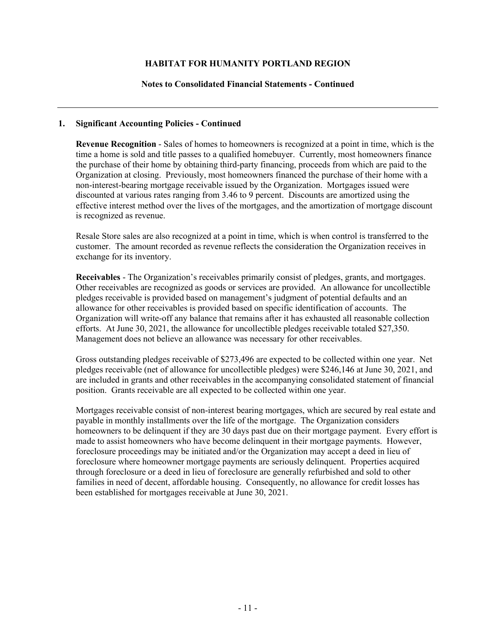### **Notes to Consolidated Financial Statements - Continued**

### **1. Significant Accounting Policies - Continued**

**Revenue Recognition** - Sales of homes to homeowners is recognized at a point in time, which is the time a home is sold and title passes to a qualified homebuyer. Currently, most homeowners finance the purchase of their home by obtaining third-party financing, proceeds from which are paid to the Organization at closing. Previously, most homeowners financed the purchase of their home with a non-interest-bearing mortgage receivable issued by the Organization. Mortgages issued were discounted at various rates ranging from 3.46 to 9 percent. Discounts are amortized using the effective interest method over the lives of the mortgages, and the amortization of mortgage discount is recognized as revenue.

Resale Store sales are also recognized at a point in time, which is when control is transferred to the customer. The amount recorded as revenue reflects the consideration the Organization receives in exchange for its inventory.

**Receivables** - The Organization's receivables primarily consist of pledges, grants, and mortgages. Other receivables are recognized as goods or services are provided. An allowance for uncollectible pledges receivable is provided based on management's judgment of potential defaults and an allowance for other receivables is provided based on specific identification of accounts. The Organization will write-off any balance that remains after it has exhausted all reasonable collection efforts. At June 30, 2021, the allowance for uncollectible pledges receivable totaled \$27,350. Management does not believe an allowance was necessary for other receivables.

Gross outstanding pledges receivable of \$273,496 are expected to be collected within one year. Net pledges receivable (net of allowance for uncollectible pledges) were \$246,146 at June 30, 2021, and are included in grants and other receivables in the accompanying consolidated statement of financial position. Grants receivable are all expected to be collected within one year.

Mortgages receivable consist of non-interest bearing mortgages, which are secured by real estate and payable in monthly installments over the life of the mortgage. The Organization considers homeowners to be delinquent if they are 30 days past due on their mortgage payment. Every effort is made to assist homeowners who have become delinquent in their mortgage payments. However, foreclosure proceedings may be initiated and/or the Organization may accept a deed in lieu of foreclosure where homeowner mortgage payments are seriously delinquent. Properties acquired through foreclosure or a deed in lieu of foreclosure are generally refurbished and sold to other families in need of decent, affordable housing. Consequently, no allowance for credit losses has been established for mortgages receivable at June 30, 2021.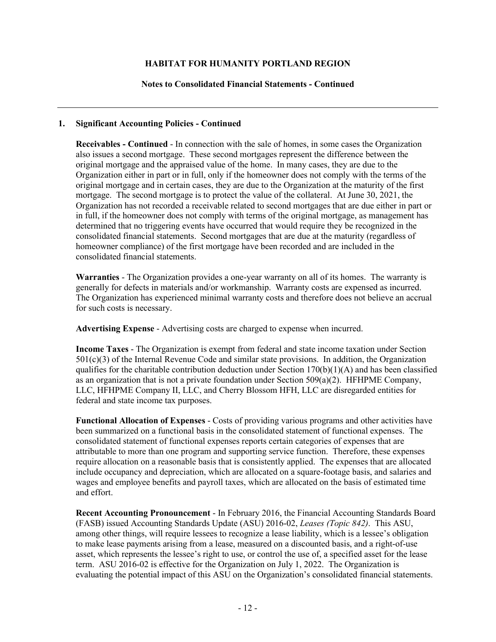### **Notes to Consolidated Financial Statements - Continued**

## **1. Significant Accounting Policies - Continued**

**Receivables - Continued** - In connection with the sale of homes, in some cases the Organization also issues a second mortgage. These second mortgages represent the difference between the original mortgage and the appraised value of the home. In many cases, they are due to the Organization either in part or in full, only if the homeowner does not comply with the terms of the original mortgage and in certain cases, they are due to the Organization at the maturity of the first mortgage. The second mortgage is to protect the value of the collateral. At June 30, 2021, the Organization has not recorded a receivable related to second mortgages that are due either in part or in full, if the homeowner does not comply with terms of the original mortgage, as management has determined that no triggering events have occurred that would require they be recognized in the consolidated financial statements. Second mortgages that are due at the maturity (regardless of homeowner compliance) of the first mortgage have been recorded and are included in the consolidated financial statements.

**Warranties** - The Organization provides a one-year warranty on all of its homes. The warranty is generally for defects in materials and/or workmanship. Warranty costs are expensed as incurred. The Organization has experienced minimal warranty costs and therefore does not believe an accrual for such costs is necessary.

**Advertising Expense** - Advertising costs are charged to expense when incurred.

**Income Taxes** - The Organization is exempt from federal and state income taxation under Section  $501(c)(3)$  of the Internal Revenue Code and similar state provisions. In addition, the Organization qualifies for the charitable contribution deduction under Section  $170(b)(1)(A)$  and has been classified as an organization that is not a private foundation under Section  $509(a)(2)$ . HFHPME Company, LLC, HFHPME Company II, LLC, and Cherry Blossom HFH, LLC are disregarded entities for federal and state income tax purposes.

**Functional Allocation of Expenses** - Costs of providing various programs and other activities have been summarized on a functional basis in the consolidated statement of functional expenses. The consolidated statement of functional expenses reports certain categories of expenses that are attributable to more than one program and supporting service function. Therefore, these expenses require allocation on a reasonable basis that is consistently applied. The expenses that are allocated include occupancy and depreciation, which are allocated on a square-footage basis, and salaries and wages and employee benefits and payroll taxes, which are allocated on the basis of estimated time and effort.

**Recent Accounting Pronouncement** - In February 2016, the Financial Accounting Standards Board (FASB) issued Accounting Standards Update (ASU) 2016-02, *Leases (Topic 842)*. This ASU, among other things, will require lessees to recognize a lease liability, which is a lessee's obligation to make lease payments arising from a lease, measured on a discounted basis, and a right-of-use asset, which represents the lessee's right to use, or control the use of, a specified asset for the lease term. ASU 2016-02 is effective for the Organization on July 1, 2022. The Organization is evaluating the potential impact of this ASU on the Organization's consolidated financial statements.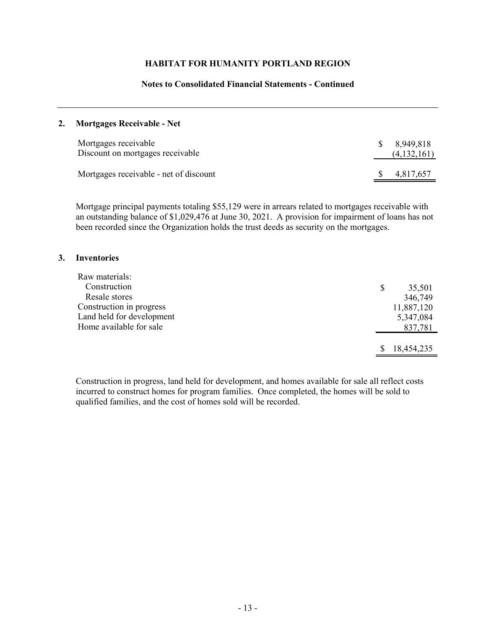#### **Notes to Consolidated Financial Statements - Continued**

## **2. Mortgages Receivable - Net**

| Mortgages receivable<br>Discount on mortgages receivable | \$8,949,818<br>(4,132,161) |
|----------------------------------------------------------|----------------------------|
| Mortgages receivable - net of discount                   | 4,817,657                  |

Mortgage principal payments totaling \$55,129 were in arrears related to mortgages receivable with an outstanding balance of \$1,029,476 at June 30, 2021. A provision for impairment of loans has not been recorded since the Organization holds the trust deeds as security on the mortgages.

#### **3. Inventories**

| Raw materials:            |            |
|---------------------------|------------|
| Construction              | 35,501     |
| Resale stores             | 346,749    |
| Construction in progress  | 11,887,120 |
| Land held for development | 5,347,084  |
| Home available for sale   | 837,781    |
|                           |            |
|                           | 18,454,235 |

Construction in progress, land held for development, and homes available for sale all reflect costs incurred to construct homes for program families. Once completed, the homes will be sold to qualified families, and the cost of homes sold will be recorded.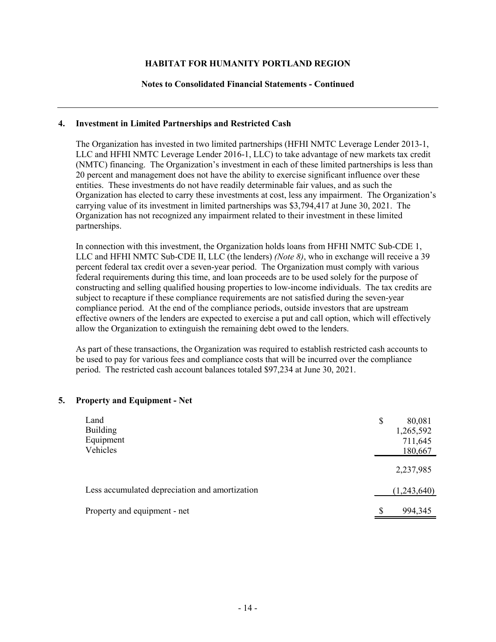#### **Notes to Consolidated Financial Statements - Continued**

### **4. Investment in Limited Partnerships and Restricted Cash**

The Organization has invested in two limited partnerships (HFHI NMTC Leverage Lender 2013-1, LLC and HFHI NMTC Leverage Lender 2016-1, LLC) to take advantage of new markets tax credit (NMTC) financing. The Organization's investment in each of these limited partnerships is less than 20 percent and management does not have the ability to exercise significant influence over these entities. These investments do not have readily determinable fair values, and as such the Organization has elected to carry these investments at cost, less any impairment. The Organization's carrying value of its investment in limited partnerships was \$3,794,417 at June 30, 2021. The Organization has not recognized any impairment related to their investment in these limited partnerships.

In connection with this investment, the Organization holds loans from HFHI NMTC Sub-CDE 1, LLC and HFHI NMTC Sub-CDE II, LLC (the lenders) *(Note 8)*, who in exchange will receive a 39 percent federal tax credit over a seven-year period. The Organization must comply with various federal requirements during this time, and loan proceeds are to be used solely for the purpose of constructing and selling qualified housing properties to low-income individuals. The tax credits are subject to recapture if these compliance requirements are not satisfied during the seven-year compliance period. At the end of the compliance periods, outside investors that are upstream effective owners of the lenders are expected to exercise a put and call option, which will effectively allow the Organization to extinguish the remaining debt owed to the lenders.

As part of these transactions, the Organization was required to establish restricted cash accounts to be used to pay for various fees and compliance costs that will be incurred over the compliance period. The restricted cash account balances totaled \$97,234 at June 30, 2021.

## **5. Property and Equipment - Net**

| Land<br><b>Building</b><br>Equipment<br>Vehicles | \$<br>80,081<br>1,265,592<br>711,645<br>180,667 |
|--------------------------------------------------|-------------------------------------------------|
|                                                  | 2,237,985                                       |
| Less accumulated depreciation and amortization   | (1,243,640)                                     |
| Property and equipment - net                     | 994,345                                         |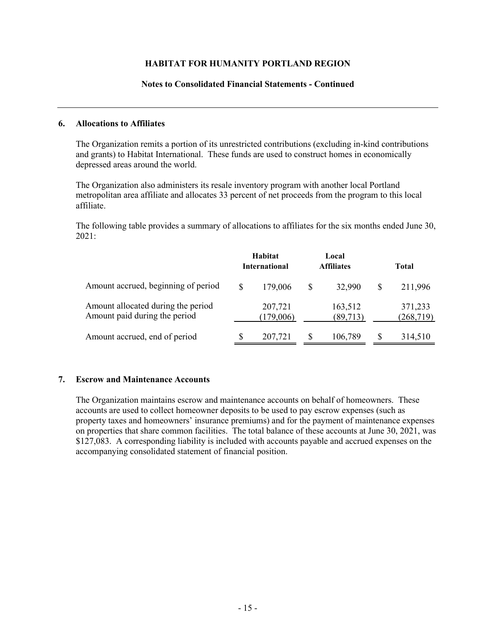### **Notes to Consolidated Financial Statements - Continued**

### **6. Allocations to Affiliates**

The Organization remits a portion of its unrestricted contributions (excluding in-kind contributions and grants) to Habitat International. These funds are used to construct homes in economically depressed areas around the world.

The Organization also administers its resale inventory program with another local Portland metropolitan area affiliate and allocates 33 percent of net proceeds from the program to this local affiliate.

The following table provides a summary of allocations to affiliates for the six months ended June 30,  $2021:$ 

|                                                                     |  | Habitat<br><b>International</b> |   | Local<br><b>Affiliates</b> | Total |                       |  |
|---------------------------------------------------------------------|--|---------------------------------|---|----------------------------|-------|-----------------------|--|
| Amount accrued, beginning of period                                 |  | 179,006                         |   | 32,990                     |       | 211,996               |  |
| Amount allocated during the period<br>Amount paid during the period |  | 207,721<br>(179,006)            |   | 163,512<br>(89, 713)       |       | 371,233<br>(268, 719) |  |
| Amount accrued, end of period                                       |  | 207,721                         | S | 106,789                    | S     | 314,510               |  |

## **7. Escrow and Maintenance Accounts**

The Organization maintains escrow and maintenance accounts on behalf of homeowners. These accounts are used to collect homeowner deposits to be used to pay escrow expenses (such as property taxes and homeowners' insurance premiums) and for the payment of maintenance expenses on properties that share common facilities. The total balance of these accounts at June 30, 2021, was \$127,083. A corresponding liability is included with accounts payable and accrued expenses on the accompanying consolidated statement of financial position.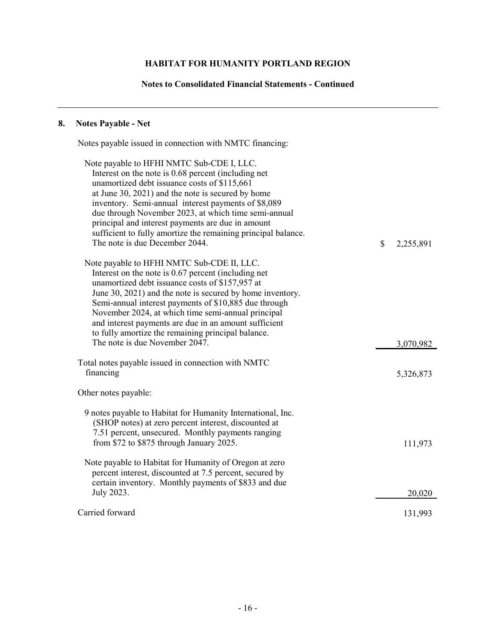### **Notes to Consolidated Financial Statements - Continued**

# **8. Notes Payable - Net**

| Notes payable issued in connection with NMTC financing:                                                                                                                                                                                                                                                                                                                                                                                                                      |                 |
|------------------------------------------------------------------------------------------------------------------------------------------------------------------------------------------------------------------------------------------------------------------------------------------------------------------------------------------------------------------------------------------------------------------------------------------------------------------------------|-----------------|
| Note payable to HFHI NMTC Sub-CDE I, LLC.<br>Interest on the note is 0.68 percent (including net<br>unamortized debt issuance costs of \$115,661<br>at June 30, 2021) and the note is secured by home<br>inventory. Semi-annual interest payments of \$8,089<br>due through November 2023, at which time semi-annual<br>principal and interest payments are due in amount<br>sufficient to fully amortize the remaining principal balance.<br>The note is due December 2044. | \$<br>2,255,891 |
| Note payable to HFHI NMTC Sub-CDE II, LLC.<br>Interest on the note is $0.67$ percent (including net<br>unamortized debt issuance costs of \$157,957 at<br>June 30, 2021) and the note is secured by home inventory.<br>Semi-annual interest payments of \$10,885 due through<br>November 2024, at which time semi-annual principal<br>and interest payments are due in an amount sufficient<br>to fully amortize the remaining principal balance.                            |                 |
| The note is due November 2047.                                                                                                                                                                                                                                                                                                                                                                                                                                               | 3,070,982       |
| Total notes payable issued in connection with NMTC<br>financing                                                                                                                                                                                                                                                                                                                                                                                                              | 5,326,873       |
| Other notes payable:                                                                                                                                                                                                                                                                                                                                                                                                                                                         |                 |
| 9 notes payable to Habitat for Humanity International, Inc.<br>(SHOP notes) at zero percent interest, discounted at<br>7.51 percent, unsecured. Monthly payments ranging<br>from \$72 to \$875 through January 2025.                                                                                                                                                                                                                                                         | 111,973         |
| Note payable to Habitat for Humanity of Oregon at zero<br>percent interest, discounted at 7.5 percent, secured by<br>certain inventory. Monthly payments of \$833 and due<br>July 2023.                                                                                                                                                                                                                                                                                      | 20,020          |
| Carried forward                                                                                                                                                                                                                                                                                                                                                                                                                                                              | 131,993         |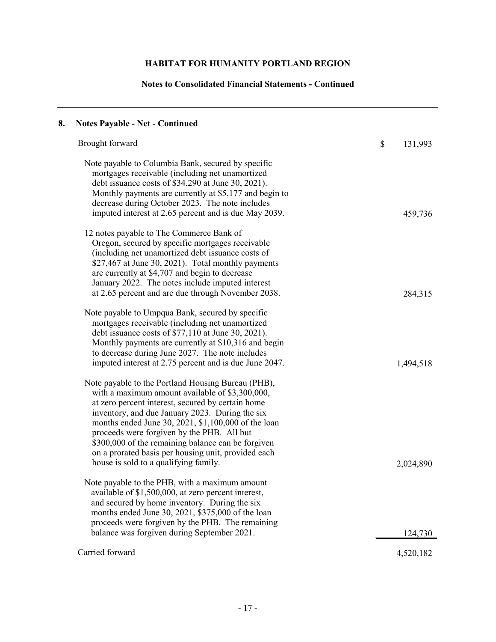#### **Notes to Consolidated Financial Statements - Continued**

# **8. Notes Payable - Net - Continued** Brought forward  $\qquad \qquad$  131,993 Note payable to Columbia Bank, secured by specific mortgages receivable (including net unamortized debt issuance costs of \$34,290 at June 30, 2021). Monthly payments are currently at \$5,177 and begin to decrease during October 2023. The note includes imputed interest at 2.65 percent and is due May 2039. 459,736 12 notes payable to The Commerce Bank of Oregon, secured by specific mortgages receivable (including net unamortized debt issuance costs of \$27,467 at June 30, 2021). Total monthly payments are currently at \$4,707 and begin to decrease January 2022. The notes include imputed interest at 2.65 percent and are due through November 2038. 284,315 Note payable to Umpqua Bank, secured by specific mortgages receivable (including net unamortized debt issuance costs of \$77,110 at June 30, 2021). Monthly payments are currently at \$10,316 and begin to decrease during June 2027. The note includes imputed interest at 2.75 percent and is due June 2047. 1,494,518 Note payable to the Portland Housing Bureau (PHB), with a maximum amount available of \$3,300,000, at zero percent interest, secured by certain home inventory, and due January 2023. During the six months ended June 30, 2021, \$1,100,000 of the loan proceeds were forgiven by the PHB. All but \$300,000 of the remaining balance can be forgiven on a prorated basis per housing unit, provided each house is sold to a qualifying family. 2,024,890 Note payable to the PHB, with a maximum amount available of \$1,500,000, at zero percent interest, and secured by home inventory. During the six months ended June 30, 2021, \$375,000 of the loan proceeds were forgiven by the PHB. The remaining balance was forgiven during September 2021. 124,730 Carried forward 4,520,182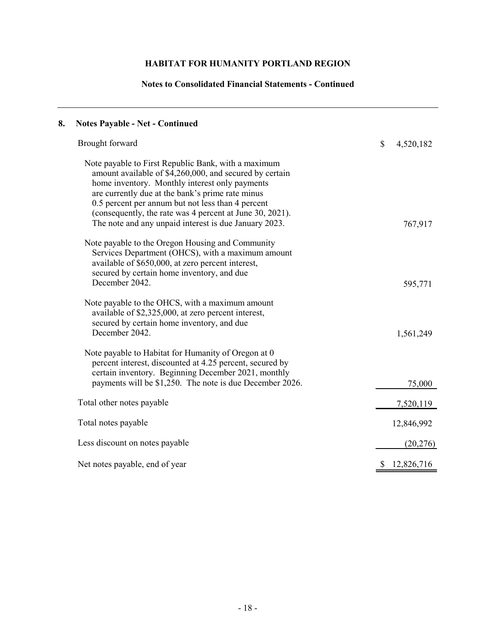## **Notes to Consolidated Financial Statements - Continued**

# **8. Notes Payable - Net - Continued**

| Brought forward                                                                                                                                                                                                                                                                                                                                                                                | \$<br>4,520,182 |
|------------------------------------------------------------------------------------------------------------------------------------------------------------------------------------------------------------------------------------------------------------------------------------------------------------------------------------------------------------------------------------------------|-----------------|
| Note payable to First Republic Bank, with a maximum<br>amount available of \$4,260,000, and secured by certain<br>home inventory. Monthly interest only payments<br>are currently due at the bank's prime rate minus<br>0.5 percent per annum but not less than 4 percent<br>(consequently, the rate was 4 percent at June 30, 2021).<br>The note and any unpaid interest is due January 2023. | 767,917         |
| Note payable to the Oregon Housing and Community<br>Services Department (OHCS), with a maximum amount<br>available of \$650,000, at zero percent interest,<br>secured by certain home inventory, and due<br>December 2042.                                                                                                                                                                     | 595,771         |
| Note payable to the OHCS, with a maximum amount<br>available of \$2,325,000, at zero percent interest,<br>secured by certain home inventory, and due<br>December 2042.                                                                                                                                                                                                                         | 1,561,249       |
| Note payable to Habitat for Humanity of Oregon at 0<br>percent interest, discounted at 4.25 percent, secured by<br>certain inventory. Beginning December 2021, monthly<br>payments will be \$1,250. The note is due December 2026.                                                                                                                                                             | 75,000          |
| Total other notes payable                                                                                                                                                                                                                                                                                                                                                                      | 7,520,119       |
| Total notes payable                                                                                                                                                                                                                                                                                                                                                                            | 12,846,992      |
| Less discount on notes payable                                                                                                                                                                                                                                                                                                                                                                 | (20, 276)       |
| Net notes payable, end of year                                                                                                                                                                                                                                                                                                                                                                 | 12,826,716      |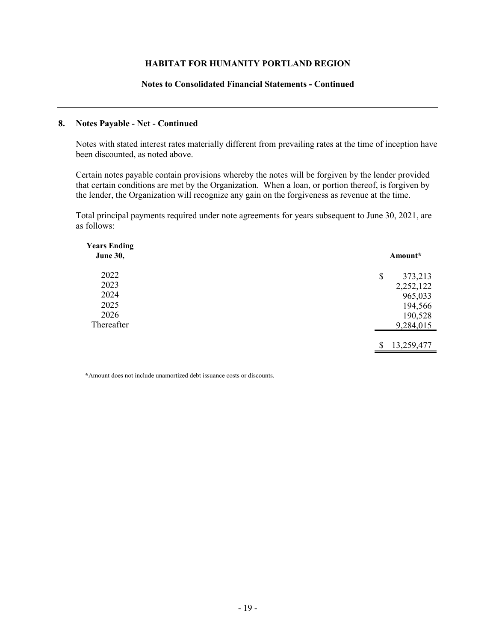#### **Notes to Consolidated Financial Statements - Continued**

## **8. Notes Payable - Net - Continued**

Notes with stated interest rates materially different from prevailing rates at the time of inception have been discounted, as noted above.

Certain notes payable contain provisions whereby the notes will be forgiven by the lender provided that certain conditions are met by the Organization. When a loan, or portion thereof, is forgiven by the lender, the Organization will recognize any gain on the forgiveness as revenue at the time.

Total principal payments required under note agreements for years subsequent to June 30, 2021, are as follows:

| <b>Years Ending</b><br><b>June 30,</b> | Amount*          |
|----------------------------------------|------------------|
| 2022                                   | 373,213<br>\$    |
| 2023                                   | 2,252,122        |
| 2024                                   | 965,033          |
| 2025                                   | 194,566          |
| 2026                                   | 190,528          |
| Thereafter                             | 9,284,015        |
|                                        |                  |
|                                        | 13,259,477<br>\$ |

**\***Amount does not include unamortized debt issuance costs or discounts.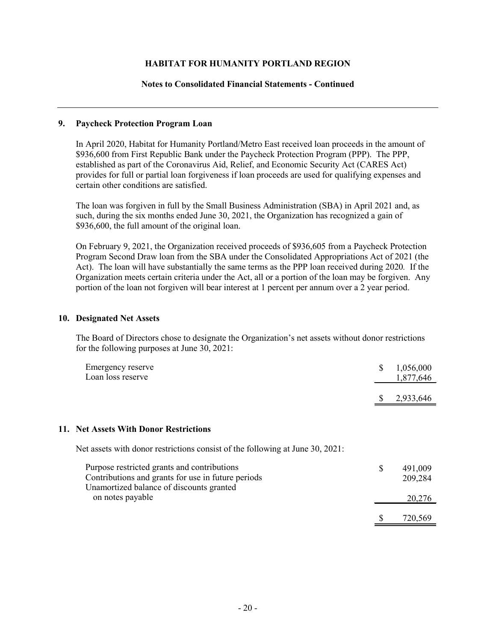#### **Notes to Consolidated Financial Statements - Continued**

#### **9. Paycheck Protection Program Loan**

In April 2020, Habitat for Humanity Portland/Metro East received loan proceeds in the amount of \$936,600 from First Republic Bank under the Paycheck Protection Program (PPP). The PPP, established as part of the Coronavirus Aid, Relief, and Economic Security Act (CARES Act) provides for full or partial loan forgiveness if loan proceeds are used for qualifying expenses and certain other conditions are satisfied.

The loan was forgiven in full by the Small Business Administration (SBA) in April 2021 and, as such, during the six months ended June 30, 2021, the Organization has recognized a gain of \$936,600, the full amount of the original loan.

On February 9, 2021, the Organization received proceeds of \$936,605 from a Paycheck Protection Program Second Draw loan from the SBA under the Consolidated Appropriations Act of 2021 (the Act). The loan will have substantially the same terms as the PPP loan received during 2020*.* If the Organization meets certain criteria under the Act, all or a portion of the loan may be forgiven. Any portion of the loan not forgiven will bear interest at 1 percent per annum over a 2 year period.

### **10. Designated Net Assets**

The Board of Directors chose to designate the Organization's net assets without donor restrictions for the following purposes at June 30, 2021:

| Emergency reserve<br>Loan loss reserve                                                                                                        | \$ | 1,056,000<br>1,877,646 |
|-----------------------------------------------------------------------------------------------------------------------------------------------|----|------------------------|
|                                                                                                                                               |    | 2,933,646              |
| 11. Net Assets With Donor Restrictions                                                                                                        |    |                        |
| Net assets with donor restrictions consist of the following at June 30, 2021:                                                                 |    |                        |
| Purpose restricted grants and contributions<br>Contributions and grants for use in future periods<br>Unamortized balance of discounts granted | \$ | 491,009<br>209,284     |
| on notes payable                                                                                                                              |    | 20,276                 |
|                                                                                                                                               | S  | 720.569                |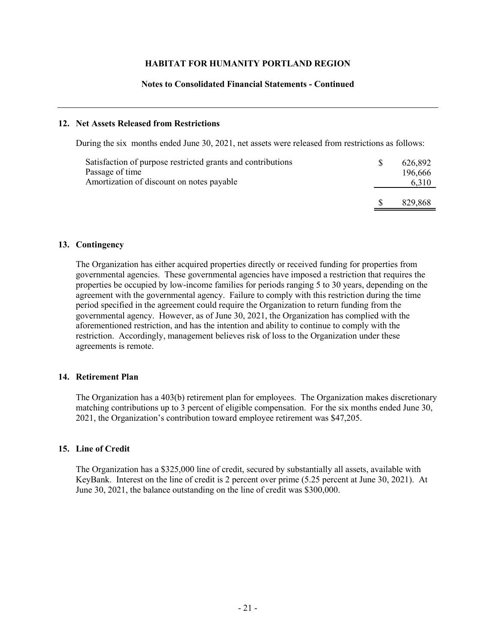#### **Notes to Consolidated Financial Statements - Continued**

#### **12. Net Assets Released from Restrictions**

During the six months ended June 30, 2021, net assets were released from restrictions as follows:

| Satisfaction of purpose restricted grants and contributions |  | 626.892 |
|-------------------------------------------------------------|--|---------|
| Passage of time                                             |  | 196,666 |
| Amortization of discount on notes payable                   |  | 6.310   |
|                                                             |  | 829,868 |

#### **13. Contingency**

The Organization has either acquired properties directly or received funding for properties from governmental agencies. These governmental agencies have imposed a restriction that requires the properties be occupied by low-income families for periods ranging 5 to 30 years, depending on the agreement with the governmental agency. Failure to comply with this restriction during the time period specified in the agreement could require the Organization to return funding from the governmental agency. However, as of June 30, 2021, the Organization has complied with the aforementioned restriction, and has the intention and ability to continue to comply with the restriction. Accordingly, management believes risk of loss to the Organization under these agreements is remote.

### **14. Retirement Plan**

The Organization has a 403(b) retirement plan for employees. The Organization makes discretionary matching contributions up to 3 percent of eligible compensation. For the six months ended June 30, 2021, the Organization's contribution toward employee retirement was \$47,205.

### **15. Line of Credit**

The Organization has a \$325,000 line of credit, secured by substantially all assets, available with KeyBank. Interest on the line of credit is 2 percent over prime (5.25 percent at June 30, 2021). At June 30, 2021, the balance outstanding on the line of credit was \$300,000.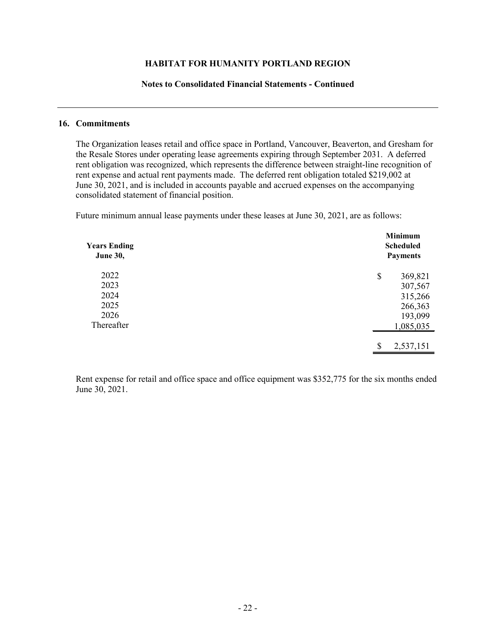#### **Notes to Consolidated Financial Statements - Continued**

### **16. Commitments**

The Organization leases retail and office space in Portland, Vancouver, Beaverton, and Gresham for the Resale Stores under operating lease agreements expiring through September 2031. A deferred rent obligation was recognized, which represents the difference between straight-line recognition of rent expense and actual rent payments made. The deferred rent obligation totaled \$219,002 at June 30, 2021, and is included in accounts payable and accrued expenses on the accompanying consolidated statement of financial position.

Future minimum annual lease payments under these leases at June 30, 2021, are as follows:

| <b>Years Ending</b><br><b>June 30,</b> |    | <b>Minimum</b><br><b>Scheduled</b><br><b>Payments</b> |  |
|----------------------------------------|----|-------------------------------------------------------|--|
| 2022                                   | \$ | 369,821                                               |  |
| 2023                                   |    | 307,567                                               |  |
| 2024                                   |    | 315,266                                               |  |
| 2025                                   |    | 266,363                                               |  |
| 2026                                   |    | 193,099                                               |  |
| Thereafter                             |    | 1,085,035                                             |  |
|                                        |    |                                                       |  |
|                                        | \$ | 2,537,151                                             |  |

Rent expense for retail and office space and office equipment was \$352,775 for the six months ended June 30, 2021.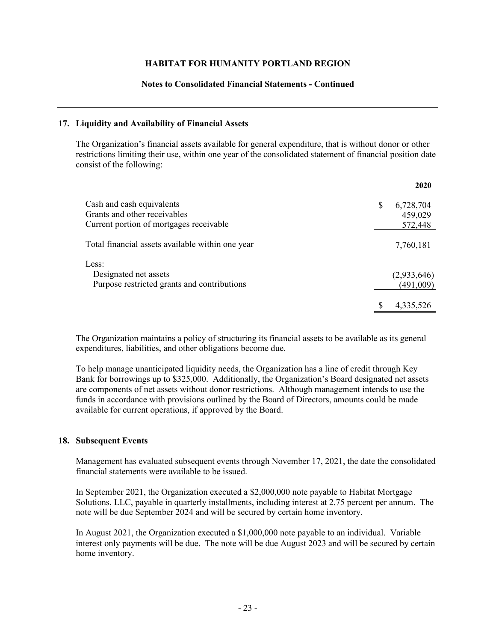#### **Notes to Consolidated Financial Statements - Continued**

#### **17. Liquidity and Availability of Financial Assets**

The Organization's financial assets available for general expenditure, that is without donor or other restrictions limiting their use, within one year of the consolidated statement of financial position date consist of the following:

**2020**

|                                                  |   | 2020        |
|--------------------------------------------------|---|-------------|
| Cash and cash equivalents                        | S | 6,728,704   |
| Grants and other receivables                     |   | 459,029     |
| Current portion of mortgages receivable          |   | 572,448     |
| Total financial assets available within one year |   | 7,760,181   |
| Less:                                            |   |             |
| Designated net assets                            |   | (2,933,646) |
| Purpose restricted grants and contributions      |   | (491,009)   |
|                                                  |   |             |
|                                                  |   | 4,335,526   |

The Organization maintains a policy of structuring its financial assets to be available as its general expenditures, liabilities, and other obligations become due.

To help manage unanticipated liquidity needs, the Organization has a line of credit through Key Bank for borrowings up to \$325,000. Additionally, the Organization's Board designated net assets are components of net assets without donor restrictions. Although management intends to use the funds in accordance with provisions outlined by the Board of Directors, amounts could be made available for current operations, if approved by the Board.

#### **18. Subsequent Events**

Management has evaluated subsequent events through November 17, 2021, the date the consolidated financial statements were available to be issued.

In September 2021, the Organization executed a \$2,000,000 note payable to Habitat Mortgage Solutions, LLC, payable in quarterly installments, including interest at 2.75 percent per annum. The note will be due September 2024 and will be secured by certain home inventory.

In August 2021, the Organization executed a \$1,000,000 note payable to an individual. Variable interest only payments will be due. The note will be due August 2023 and will be secured by certain home inventory.